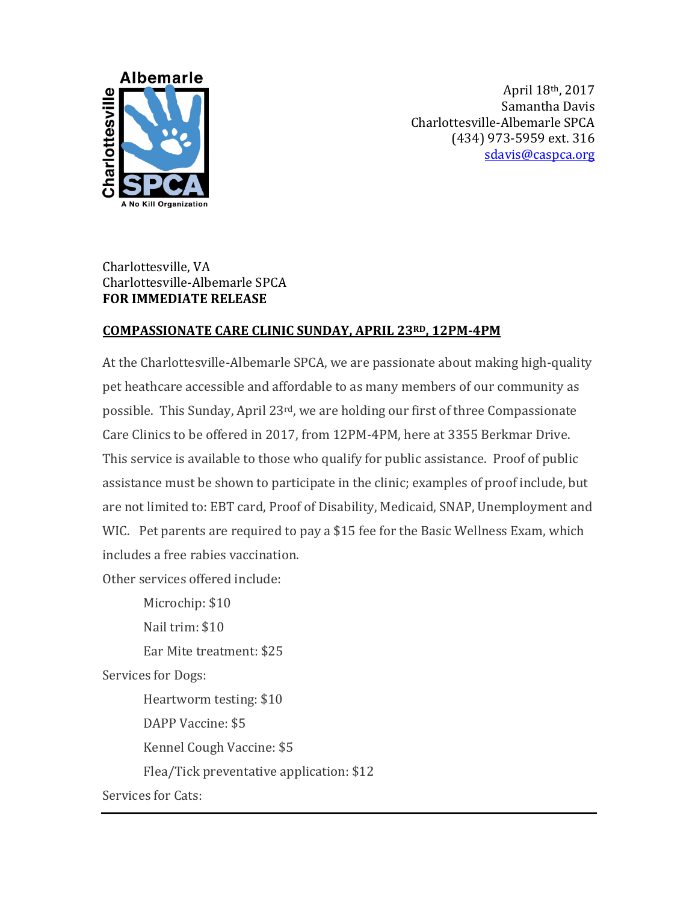

April 18th, 2017 Samantha Davis Charlottesville-Albemarle SPCA (434) 973-5959 ext. 316 [sdavis@caspca.org](mailto:mrhondeau@caspca.org)

## Charlottesville, VA Charlottesville-Albemarle SPCA **FOR IMMEDIATE RELEASE**

## **COMPASSIONATE CARE CLINIC SUNDAY, APRIL 23RD, 12PM-4PM**

At the Charlottesville-Albemarle SPCA, we are passionate about making high-quality pet heathcare accessible and affordable to as many members of our community as possible. This Sunday, April 23rd, we are holding our first of three Compassionate Care Clinics to be offered in 2017, from 12PM-4PM, here at 3355 Berkmar Drive. This service is available to those who qualify for public assistance. Proof of public assistance must be shown to participate in the clinic; examples of proof include, but are not limited to: EBT card, Proof of Disability, Medicaid, SNAP, Unemployment and WIC. Pet parents are required to pay a \$15 fee for the Basic Wellness Exam, which includes a free rabies vaccination.

Other services offered include:

Microchip: \$10 Nail trim: \$10 Ear Mite treatment: \$25 Services for Dogs: Heartworm testing: \$10 DAPP Vaccine: \$5 Kennel Cough Vaccine: \$5 Flea/Tick preventative application: \$12 Services for Cats: